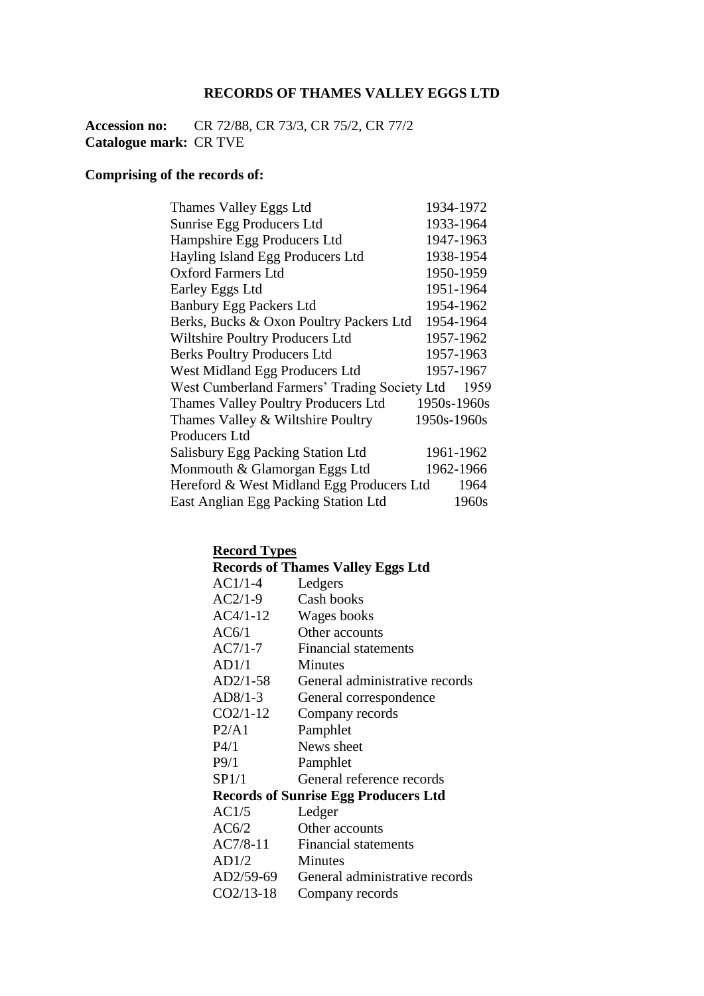### **RECORDS OF THAMES VALLEY EGGS LTD**

**Accession no:** CR 72/88, CR 73/3, CR 75/2, CR 77/2 **Catalogue mark:** CR TVE

### **Comprising of the records of:**

| Thames Valley Eggs Ltd                       | 1934-1972   |
|----------------------------------------------|-------------|
| Sunrise Egg Producers Ltd                    | 1933-1964   |
| Hampshire Egg Producers Ltd                  | 1947-1963   |
| Hayling Island Egg Producers Ltd             | 1938-1954   |
| <b>Oxford Farmers Ltd</b>                    | 1950-1959   |
| Earley Eggs Ltd                              | 1951-1964   |
| <b>Banbury Egg Packers Ltd</b>               | 1954-1962   |
| Berks, Bucks & Oxon Poultry Packers Ltd      | 1954-1964   |
| Wiltshire Poultry Producers Ltd              | 1957-1962   |
| <b>Berks Poultry Producers Ltd</b>           | 1957-1963   |
| West Midland Egg Producers Ltd               | 1957-1967   |
| West Cumberland Farmers' Trading Society Ltd | 1959        |
| Thames Valley Poultry Producers Ltd          | 1950s-1960s |
| Thames Valley & Wiltshire Poultry            | 1950s-1960s |
| Producers Ltd                                |             |
| <b>Salisbury Egg Packing Station Ltd</b>     | 1961-1962   |
| Monmouth & Glamorgan Eggs Ltd                | 1962-1966   |
| Hereford & West Midland Egg Producers Ltd    | 1964        |
| East Anglian Egg Packing Station Ltd         | 1960s       |

### **Record Types**

|            | <b>Records of Thames Valley Eggs Ltd</b>    |
|------------|---------------------------------------------|
| AC1/1-4    | Ledgers                                     |
| AC2/1-9    | Cash books                                  |
| AC4/1-12   | Wages books                                 |
| AC6/1      | Other accounts                              |
| AC7/1-7    | Financial statements                        |
| AD1/1      | <b>Minutes</b>                              |
| AD2/1-58   | General administrative records              |
| AD8/1-3    | General correspondence                      |
| $CO2/1-12$ | Company records                             |
| P2/A1      | Pamphlet                                    |
| P4/1       | News sheet                                  |
| P9/1       | Pamphlet                                    |
| SP1/1      | General reference records                   |
|            | <b>Records of Sunrise Egg Producers Ltd</b> |
| AC1/5      | Ledger                                      |
| AC6/2      | Other accounts                              |
| $AC7/8-11$ | Financial statements                        |
| AD1/2      | Minutes                                     |
| AD2/59-69  | General administrative records              |
| CO2/13-18  | Company records                             |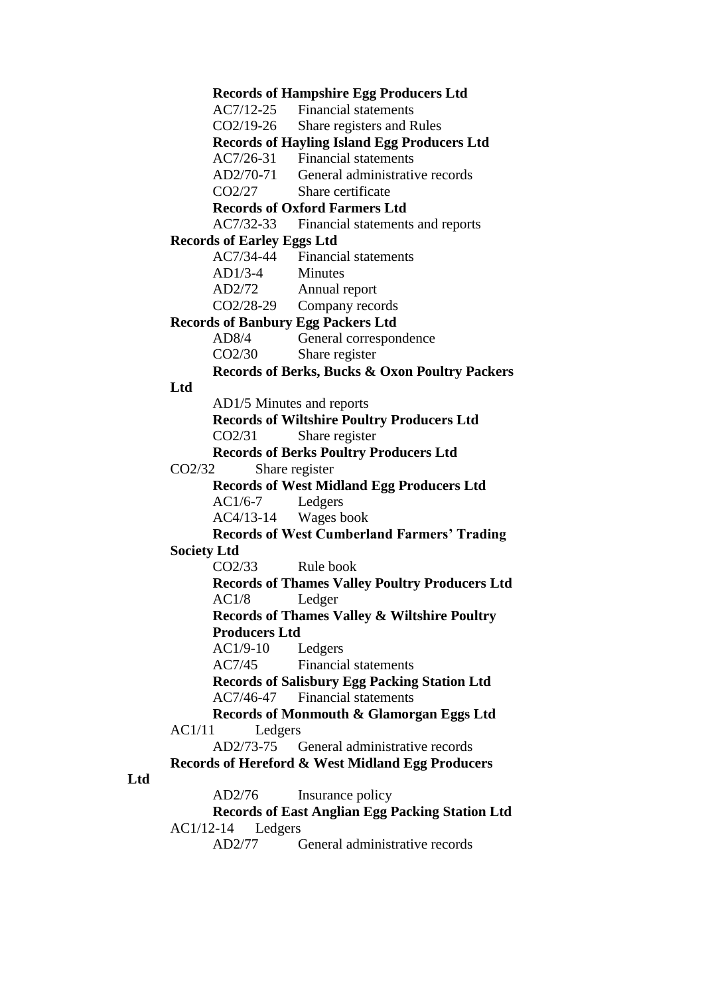**Records of Hampshire Egg Producers Ltd** AC7/12-25 Financial statements CO2/19-26 Share registers and Rules **Records of Hayling Island Egg Producers Ltd** AC7/26-31 Financial statements AD2/70-71 General administrative records CO2/27 Share certificate **Records of Oxford Farmers Ltd** AC7/32-33 Financial statements and reports **Records of Earley Eggs Ltd** AC7/34-44 Financial statements AD1/3-4 Minutes AD2/72 Annual report CO2/28-29 Company records **Records of Banbury Egg Packers Ltd** AD8/4 General correspondence CO2/30 Share register **Records of Berks, Bucks & Oxon Poultry Packers Ltd** AD1/5 Minutes and reports **Records of Wiltshire Poultry Producers Ltd** CO2/31 Share register **Records of Berks Poultry Producers Ltd** CO2/32 Share register **Records of West Midland Egg Producers Ltd** AC1/6-7 Ledgers AC4/13-14 Wages book **Records of West Cumberland Farmers' Trading Society Ltd**  CO2/33 Rule book **Records of Thames Valley Poultry Producers Ltd** AC1/8 Ledger **Records of Thames Valley & Wiltshire Poultry Producers Ltd** AC1/9-10 Ledgers AC7/45 Financial statements **Records of Salisbury Egg Packing Station Ltd** AC7/46-47 Financial statements **Records of Monmouth & Glamorgan Eggs Ltd** AC1/11 Ledgers AD2/73-75 General administrative records **Records of Hereford & West Midland Egg Producers**  AD2/76 Insurance policy **Records of East Anglian Egg Packing Station Ltd** AC1/12-14 Ledgers

AD2/77 General administrative records

**Ltd**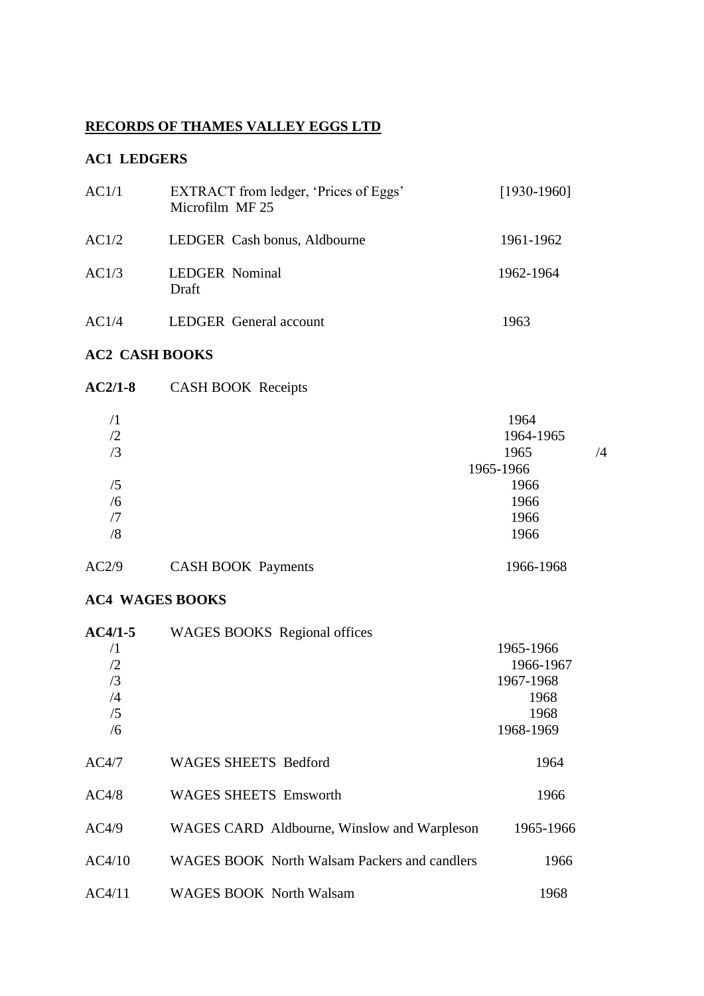### **RECORDS OF THAMES VALLEY EGGS LTD**

#### **AC1 LEDGERS**

| AC1/1 | EXTRACT from ledger, 'Prices of Eggs'<br>Microfilm MF 25 | $[1930-1960]$ |
|-------|----------------------------------------------------------|---------------|
| AC1/2 | LEDGER Cash bonus, Aldbourne                             | 1961-1962     |
| AC1/3 | <b>LEDGER Nominal</b><br>Draft                           | 1962-1964     |
| AC1/4 | <b>LEDGER</b> General account                            | 1963          |

### **AC2 CASH BOOKS**

| $AC2/1-8$  | <b>CASH BOOK Receipts</b> |            |  |
|------------|---------------------------|------------|--|
| $\sqrt{1}$ |                           | 1964       |  |
| /2         |                           | 1964-1965  |  |
| $\sqrt{3}$ |                           | 1965<br>/4 |  |
|            |                           | 1965-1966  |  |
| /5         |                           | 1966       |  |
| /6         |                           | 1966       |  |
| /7         |                           | 1966       |  |
| /8         |                           | 1966       |  |
| AC2/9      | <b>CASH BOOK Payments</b> | 1966-1968  |  |

### **AC4 WAGES BOOKS**

| $AC4/1-5$  | <b>WAGES BOOKS</b> Regional offices                 |           |
|------------|-----------------------------------------------------|-----------|
| $\sqrt{1}$ |                                                     | 1965-1966 |
| /2         |                                                     | 1966-1967 |
| /3         |                                                     | 1967-1968 |
| /4         |                                                     | 1968      |
| /5         |                                                     | 1968      |
| /6         |                                                     | 1968-1969 |
| AC4/7      | <b>WAGES SHEETS Bedford</b>                         | 1964      |
| AC4/8      | <b>WAGES SHEETS</b> Emsworth                        | 1966      |
| AC4/9      | WAGES CARD Aldbourne, Winslow and Warpleson         | 1965-1966 |
| AC4/10     | <b>WAGES BOOK</b> North Walsam Packers and candlers | 1966      |
| AC4/11     | <b>WAGES BOOK North Walsam</b>                      | 1968      |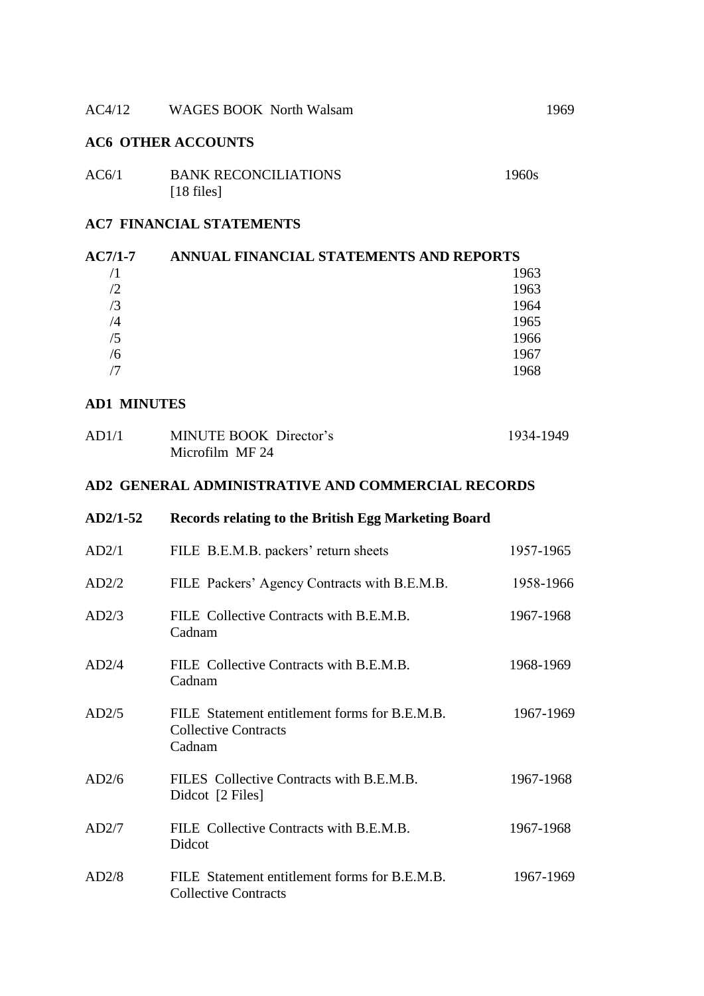#### AC4/12 WAGES BOOK North Walsam 1969

#### **AC6 OTHER ACCOUNTS**

| AC6/1 | <b>BANK RECONCILIATIONS</b> | 1960s |
|-------|-----------------------------|-------|
|       | $[18$ files]                |       |

#### **AC7 FINANCIAL STATEMENTS**

| <b>AC7/1-7</b> | ANNUAL FINANCIAL STATEMENTS AND REPORTS |  |
|----------------|-----------------------------------------|--|
|                | 1963                                    |  |
| /2             | 1963                                    |  |
| $\sqrt{3}$     | 1964                                    |  |
| /4             | 1965                                    |  |
| /5             | 1966                                    |  |
| /6             | 1967                                    |  |
|                | 1968                                    |  |

#### **AD1 MINUTES**

| AD1/1 | MINUTE BOOK Director's | 1934-1949 |
|-------|------------------------|-----------|
|       | Microfilm MF 24        |           |

#### **AD2 GENERAL ADMINISTRATIVE AND COMMERCIAL RECORDS**

| $AD2/1-52$ | Records relating to the British Egg Marketing Board                                    |           |
|------------|----------------------------------------------------------------------------------------|-----------|
| AD2/1      | FILE B.E.M.B. packers' return sheets                                                   | 1957-1965 |
| AD2/2      | FILE Packers' Agency Contracts with B.E.M.B.                                           | 1958-1966 |
| AD2/3      | FILE Collective Contracts with B.E.M.B.<br>Cadnam                                      | 1967-1968 |
| AD2/4      | FILE Collective Contracts with B.E.M.B.<br>Cadnam                                      | 1968-1969 |
| AD2/5      | FILE Statement entitlement forms for B.E.M.B.<br><b>Collective Contracts</b><br>Cadnam | 1967-1969 |
| AD2/6      | FILES Collective Contracts with B.E.M.B.<br>Didcot [2 Files]                           | 1967-1968 |
| AD2/7      | FILE Collective Contracts with B.E.M.B.<br>Didcot                                      | 1967-1968 |
| AD2/8      | FILE Statement entitlement forms for B.E.M.B.<br><b>Collective Contracts</b>           | 1967-1969 |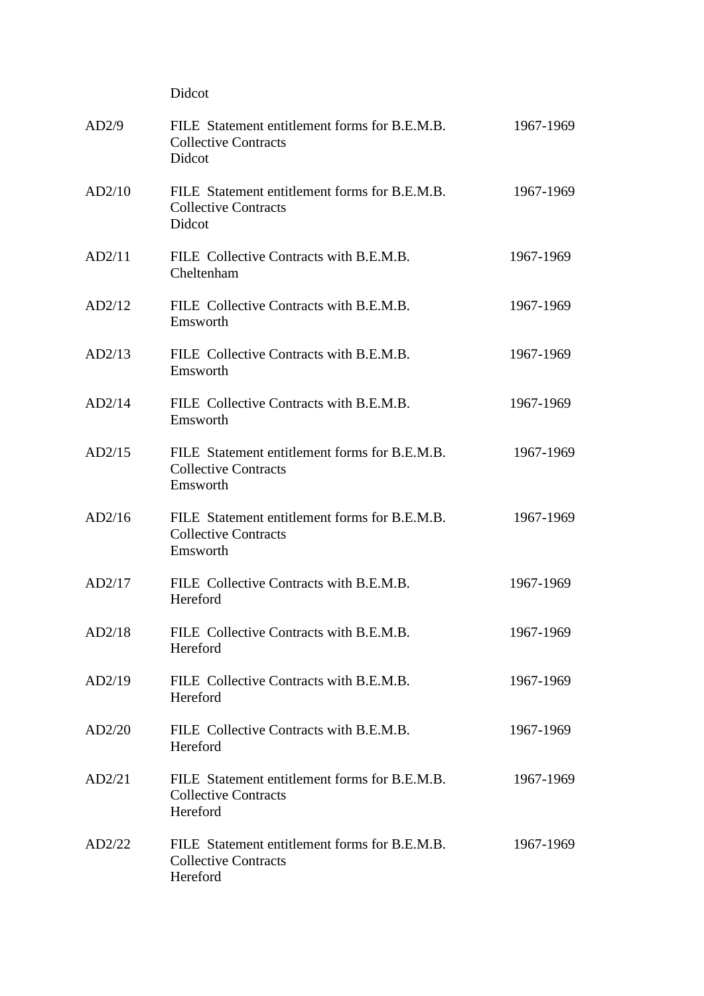|        | Didcot                                                                                   |           |
|--------|------------------------------------------------------------------------------------------|-----------|
| AD2/9  | FILE Statement entitlement forms for B.E.M.B.<br><b>Collective Contracts</b><br>Didcot   | 1967-1969 |
| AD2/10 | FILE Statement entitlement forms for B.E.M.B.<br><b>Collective Contracts</b><br>Didcot   | 1967-1969 |
| AD2/11 | FILE Collective Contracts with B.E.M.B.<br>Cheltenham                                    | 1967-1969 |
| AD2/12 | FILE Collective Contracts with B.E.M.B.<br>Emsworth                                      | 1967-1969 |
| AD2/13 | FILE Collective Contracts with B.E.M.B.<br>Emsworth                                      | 1967-1969 |
| AD2/14 | FILE Collective Contracts with B.E.M.B.<br>Emsworth                                      | 1967-1969 |
| AD2/15 | FILE Statement entitlement forms for B.E.M.B.<br><b>Collective Contracts</b><br>Emsworth | 1967-1969 |
| AD2/16 | FILE Statement entitlement forms for B.E.M.B.<br><b>Collective Contracts</b><br>Emsworth | 1967-1969 |
| AD2/17 | FILE Collective Contracts with B.E.M.B.<br>Hereford                                      | 1967-1969 |
| AD2/18 | FILE Collective Contracts with B.E.M.B.<br>Hereford                                      | 1967-1969 |
| AD2/19 | FILE Collective Contracts with B.E.M.B.<br>Hereford                                      | 1967-1969 |
| AD2/20 | FILE Collective Contracts with B.E.M.B.<br>Hereford                                      | 1967-1969 |
| AD2/21 | FILE Statement entitlement forms for B.E.M.B.<br><b>Collective Contracts</b><br>Hereford | 1967-1969 |
| AD2/22 | FILE Statement entitlement forms for B.E.M.B.<br><b>Collective Contracts</b><br>Hereford | 1967-1969 |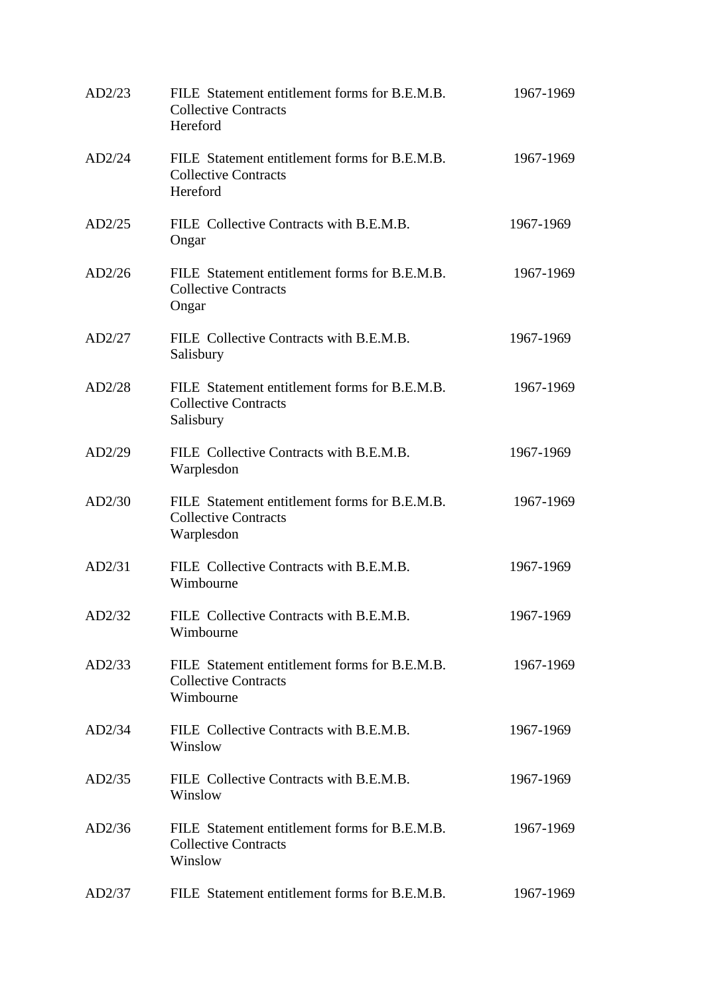| AD2/23 | FILE Statement entitlement forms for B.E.M.B.<br><b>Collective Contracts</b><br>Hereford   | 1967-1969 |
|--------|--------------------------------------------------------------------------------------------|-----------|
| AD2/24 | FILE Statement entitlement forms for B.E.M.B.<br><b>Collective Contracts</b><br>Hereford   | 1967-1969 |
| AD2/25 | FILE Collective Contracts with B.E.M.B.<br>Ongar                                           | 1967-1969 |
| AD2/26 | FILE Statement entitlement forms for B.E.M.B.<br><b>Collective Contracts</b><br>Ongar      | 1967-1969 |
| AD2/27 | FILE Collective Contracts with B.E.M.B.<br>Salisbury                                       | 1967-1969 |
| AD2/28 | FILE Statement entitlement forms for B.E.M.B.<br><b>Collective Contracts</b><br>Salisbury  | 1967-1969 |
| AD2/29 | FILE Collective Contracts with B.E.M.B.<br>Warplesdon                                      | 1967-1969 |
| AD2/30 | FILE Statement entitlement forms for B.E.M.B.<br><b>Collective Contracts</b><br>Warplesdon | 1967-1969 |
| AD2/31 | FILE Collective Contracts with B.E.M.B.<br>Wimbourne                                       | 1967-1969 |
| AD2/32 | FILE Collective Contracts with B.E.M.B.<br>Wimbourne                                       | 1967-1969 |
| AD2/33 | FILE Statement entitlement forms for B.E.M.B.<br><b>Collective Contracts</b><br>Wimbourne  | 1967-1969 |
| AD2/34 | FILE Collective Contracts with B.E.M.B.<br>Winslow                                         | 1967-1969 |
| AD2/35 | FILE Collective Contracts with B.E.M.B.<br>Winslow                                         | 1967-1969 |
| AD2/36 | FILE Statement entitlement forms for B.E.M.B.<br><b>Collective Contracts</b><br>Winslow    | 1967-1969 |
| AD2/37 | FILE Statement entitlement forms for B.E.M.B.                                              | 1967-1969 |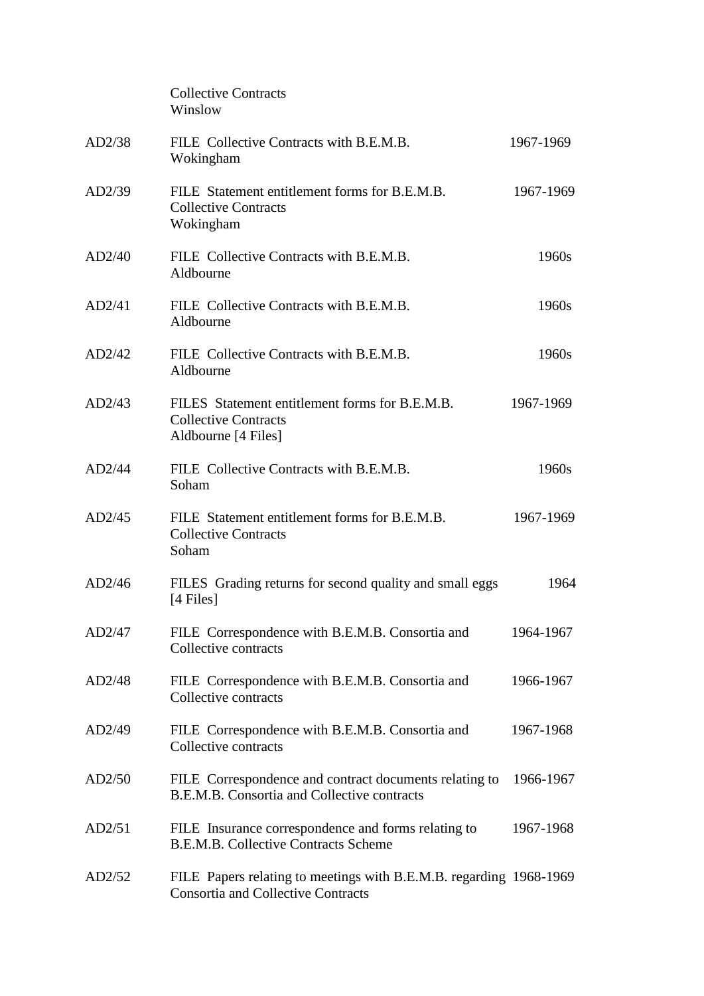|        | <b>Collective Contracts</b><br>Winslow                                                                          |           |
|--------|-----------------------------------------------------------------------------------------------------------------|-----------|
| AD2/38 | FILE Collective Contracts with B.E.M.B.<br>Wokingham                                                            | 1967-1969 |
| AD2/39 | FILE Statement entitlement forms for B.E.M.B.<br><b>Collective Contracts</b><br>Wokingham                       | 1967-1969 |
| AD2/40 | FILE Collective Contracts with B.E.M.B.<br>Aldbourne                                                            | 1960s     |
| AD2/41 | FILE Collective Contracts with B.E.M.B.<br>Aldbourne                                                            | 1960s     |
| AD2/42 | FILE Collective Contracts with B.E.M.B.<br>Aldbourne                                                            | 1960s     |
| AD2/43 | FILES Statement entitlement forms for B.E.M.B.<br><b>Collective Contracts</b><br>Aldbourne [4 Files]            | 1967-1969 |
| AD2/44 | FILE Collective Contracts with B.E.M.B.<br>Soham                                                                | 1960s     |
| AD2/45 | FILE Statement entitlement forms for B.E.M.B.<br><b>Collective Contracts</b><br>Soham                           | 1967-1969 |
| AD2/46 | FILES Grading returns for second quality and small eggs<br>$[4 \text{ Files}]$                                  | 1964      |
| AD2/47 | FILE Correspondence with B.E.M.B. Consortia and<br>Collective contracts                                         | 1964-1967 |
| AD2/48 | FILE Correspondence with B.E.M.B. Consortia and<br>Collective contracts                                         | 1966-1967 |
| AD2/49 | FILE Correspondence with B.E.M.B. Consortia and<br>Collective contracts                                         | 1967-1968 |
| AD2/50 | FILE Correspondence and contract documents relating to<br>B.E.M.B. Consortia and Collective contracts           | 1966-1967 |
| AD2/51 | FILE Insurance correspondence and forms relating to<br><b>B.E.M.B. Collective Contracts Scheme</b>              | 1967-1968 |
| AD2/52 | FILE Papers relating to meetings with B.E.M.B. regarding 1968-1969<br><b>Consortia and Collective Contracts</b> |           |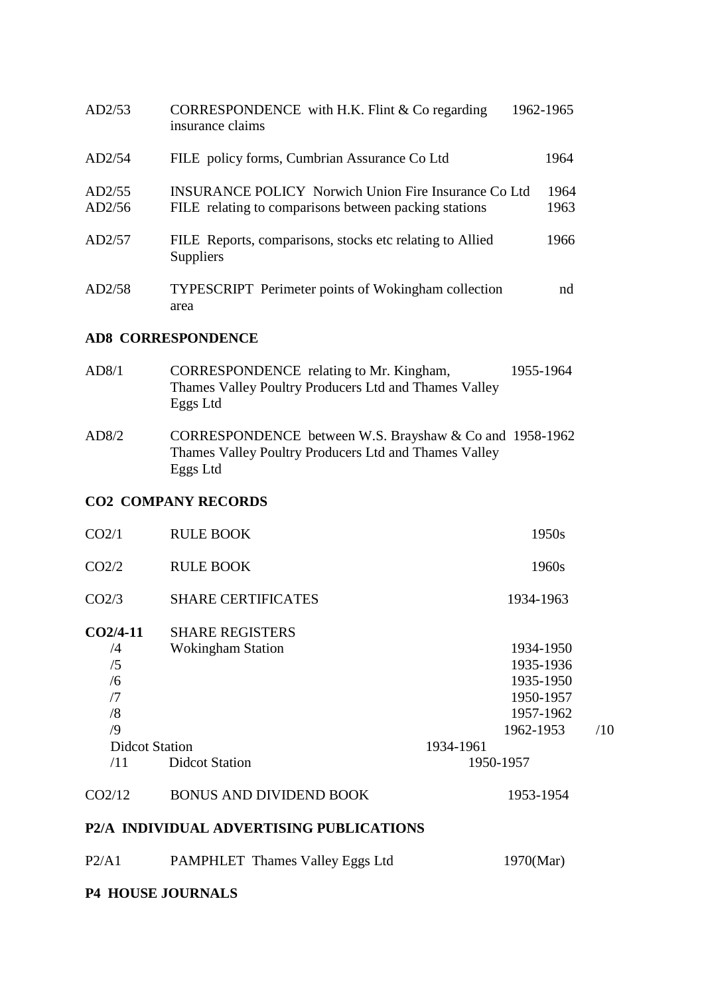| AD2/53           | CORRESPONDENCE with H.K. Flint $& Co$ regarding<br>insurance claims                                                  | 1962-1965    |
|------------------|----------------------------------------------------------------------------------------------------------------------|--------------|
| AD2/54           | FILE policy forms, Cumbrian Assurance Co Ltd                                                                         | 1964         |
| AD2/55<br>AD2/56 | <b>INSURANCE POLICY Norwich Union Fire Insurance Co Ltd</b><br>FILE relating to comparisons between packing stations | 1964<br>1963 |
| AD2/57           | FILE Reports, comparisons, stocks etc relating to Allied<br>Suppliers                                                | 1966         |
| AD2/58           | <b>TYPESCRIPT</b> Perimeter points of Wokingham collection<br>area                                                   | nd           |

### **AD8 CORRESPONDENCE**

| CORRESPONDENCE relating to Mr. Kingham,               | 1955-1964                                                                                                        |
|-------------------------------------------------------|------------------------------------------------------------------------------------------------------------------|
| Thames Valley Poultry Producers Ltd and Thames Valley |                                                                                                                  |
| Eggs Ltd                                              |                                                                                                                  |
|                                                       |                                                                                                                  |
|                                                       |                                                                                                                  |
|                                                       |                                                                                                                  |
| Eggs Ltd                                              |                                                                                                                  |
|                                                       | CORRESPONDENCE between W.S. Brayshaw & Co and 1958-1962<br>Thames Valley Poultry Producers Ltd and Thames Valley |

### **CO2 COMPANY RECORDS**

| CO <sub>2/1</sub>                        | <b>RULE BOOK</b>               | 1950s     |     |
|------------------------------------------|--------------------------------|-----------|-----|
| CO <sub>2/2</sub>                        | <b>RULE BOOK</b>               | 1960s     |     |
| CO <sub>2/3</sub>                        | <b>SHARE CERTIFICATES</b>      | 1934-1963 |     |
| $CO2/4-11$                               | <b>SHARE REGISTERS</b>         |           |     |
| /4                                       | <b>Wokingham Station</b>       | 1934-1950 |     |
| /5                                       |                                | 1935-1936 |     |
| /6                                       |                                | 1935-1950 |     |
| /7                                       |                                | 1950-1957 |     |
| /8                                       |                                | 1957-1962 |     |
| /9                                       |                                | 1962-1953 | /10 |
| <b>Didcot Station</b>                    |                                | 1934-1961 |     |
| /11                                      | <b>Didcot Station</b>          | 1950-1957 |     |
| CO <sub>2/12</sub>                       | <b>BONUS AND DIVIDEND BOOK</b> | 1953-1954 |     |
| P2/A INDIVIDUAL ADVERTISING PUBLICATIONS |                                |           |     |

| P2/A1 | <b>PAMPHLET</b> Thames Valley Eggs Ltd | 1970(Mar) |
|-------|----------------------------------------|-----------|
|       |                                        |           |

## **P4 HOUSE JOURNALS**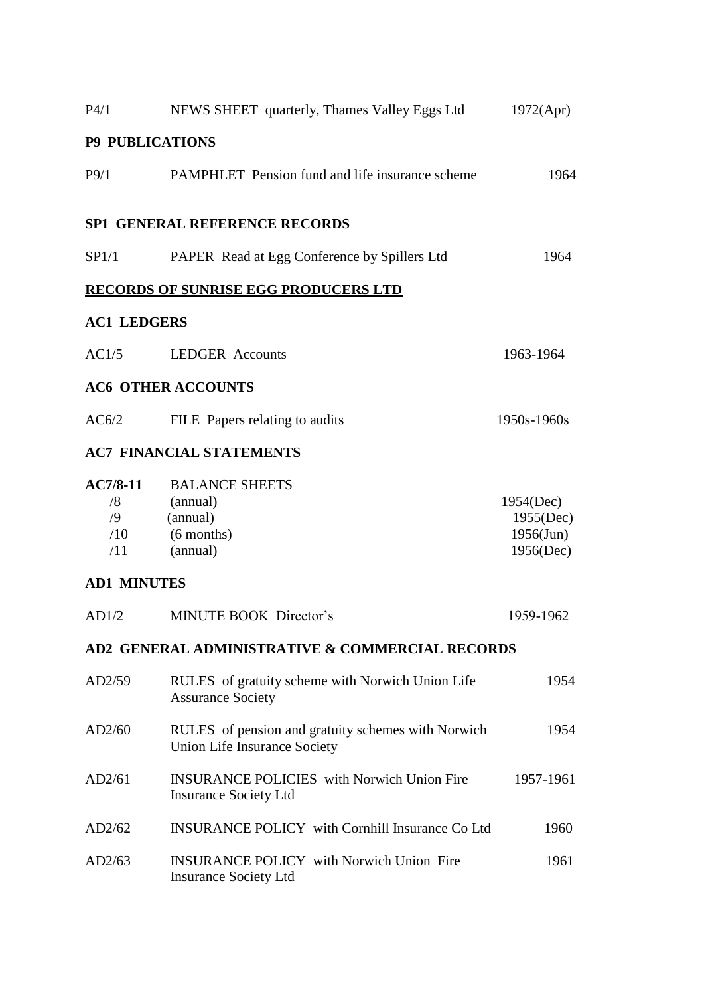| P4/1                                         | NEWS SHEET quarterly, Thames Valley Eggs Ltd                                              | 1972(Apr)                                           |
|----------------------------------------------|-------------------------------------------------------------------------------------------|-----------------------------------------------------|
| <b>P9 PUBLICATIONS</b>                       |                                                                                           |                                                     |
| P9/1                                         | PAMPHLET Pension fund and life insurance scheme                                           | 1964                                                |
|                                              | <b>SP1 GENERAL REFERENCE RECORDS</b>                                                      |                                                     |
| SP1/1                                        | PAPER Read at Egg Conference by Spillers Ltd                                              | 1964                                                |
|                                              | <b>RECORDS OF SUNRISE EGG PRODUCERS LTD</b>                                               |                                                     |
| <b>AC1 LEDGERS</b>                           |                                                                                           |                                                     |
| AC1/5                                        | <b>LEDGER Accounts</b>                                                                    | 1963-1964                                           |
|                                              | <b>AC6 OTHER ACCOUNTS</b>                                                                 |                                                     |
| AC6/2                                        | FILE Papers relating to audits                                                            | 1950s-1960s                                         |
|                                              | <b>AC7 FINANCIAL STATEMENTS</b>                                                           |                                                     |
| $AC7/8-11$<br>/8<br>$\sqrt{9}$<br>/10<br>/11 | <b>BALANCE SHEETS</b><br>(annual)<br>(annual)<br>$(6$ months)<br>(annual)                 | 1954(Dec)<br>1955(Dec)<br>$1956$ (Jun)<br>1956(Dec) |
| <b>AD1 MINUTES</b>                           |                                                                                           |                                                     |
| AD1/2                                        | <b>MINUTE BOOK Director's</b>                                                             | 1959-1962                                           |
|                                              | AD2 GENERAL ADMINISTRATIVE & COMMERCIAL RECORDS                                           |                                                     |
| AD2/59                                       | RULES of gratuity scheme with Norwich Union Life<br><b>Assurance Society</b>              | 1954                                                |
| AD2/60                                       | RULES of pension and gratuity schemes with Norwich<br><b>Union Life Insurance Society</b> | 1954                                                |
| AD2/61                                       | <b>INSURANCE POLICIES</b> with Norwich Union Fire<br><b>Insurance Society Ltd</b>         | 1957-1961                                           |
| AD2/62                                       | <b>INSURANCE POLICY</b> with Cornhill Insurance Co Ltd                                    | 1960                                                |
| AD2/63                                       | <b>INSURANCE POLICY</b> with Norwich Union Fire<br><b>Insurance Society Ltd</b>           | 1961                                                |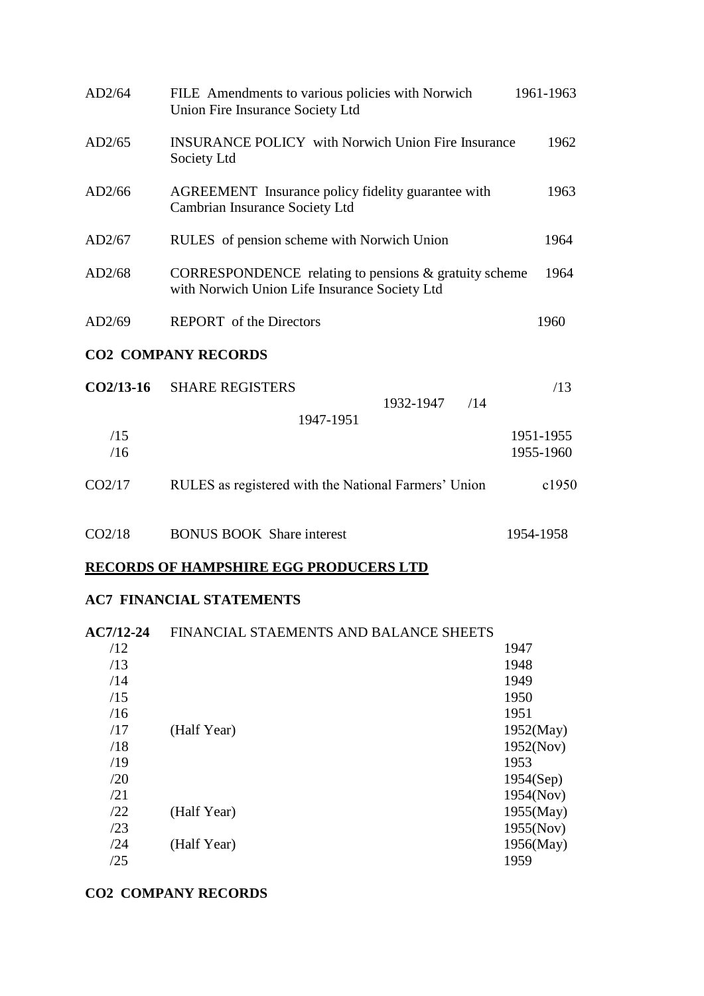| AD2/64      | FILE Amendments to various policies with Norwich<br>Union Fire Insurance Society Ltd                      | 1961-1963 |
|-------------|-----------------------------------------------------------------------------------------------------------|-----------|
| AD2/65      | <b>INSURANCE POLICY</b> with Norwich Union Fire Insurance<br>Society Ltd                                  | 1962      |
| AD2/66      | AGREEMENT Insurance policy fidelity guarantee with<br>Cambrian Insurance Society Ltd                      | 1963      |
| AD2/67      | RULES of pension scheme with Norwich Union                                                                | 1964      |
| AD2/68      | CORRESPONDENCE relating to pensions $\&$ gratuity scheme<br>with Norwich Union Life Insurance Society Ltd | 1964      |
| AD2/69      | <b>REPORT</b> of the Directors                                                                            | 1960      |
|             | <b>CO2 COMPANY RECORDS</b>                                                                                |           |
| $CO2/13-16$ | <b>SHARE REGISTERS</b><br>1932-1947<br>/14                                                                | /13       |
|             | 1947-1951                                                                                                 |           |
| /15         |                                                                                                           | 1951-1955 |
| /16         |                                                                                                           | 1955-1960 |
| CO2/17      | RULES as registered with the National Farmers' Union                                                      | c1950     |
| CO2/18      | <b>BONUS BOOK</b> Share interest                                                                          | 1954-1958 |

# **RECORDS OF HAMPSHIRE EGG PRODUCERS LTD**

#### **AC7 FINANCIAL STATEMENTS**

| <b>AC7/12-24</b> | FINANCIAL STAEMENTS AND BALANCE SHEETS |           |
|------------------|----------------------------------------|-----------|
| /12              |                                        | 1947      |
| /13              |                                        | 1948      |
| /14              |                                        | 1949      |
| /15              |                                        | 1950      |
| /16              |                                        | 1951      |
| /17              | (Half Year)                            | 1952(May) |
| /18              |                                        | 1952(Nov) |
| /19              |                                        | 1953      |
| /20              |                                        | 1954(Sep) |
| /21              |                                        | 1954(Nov) |
| /22              | (Half Year)                            | 1955(May) |
| /23              |                                        | 1955(Nov) |
| /24              | (Half Year)                            | 1956(May) |
| /25              |                                        | 1959      |
|                  |                                        |           |

#### **CO2 COMPANY RECORDS**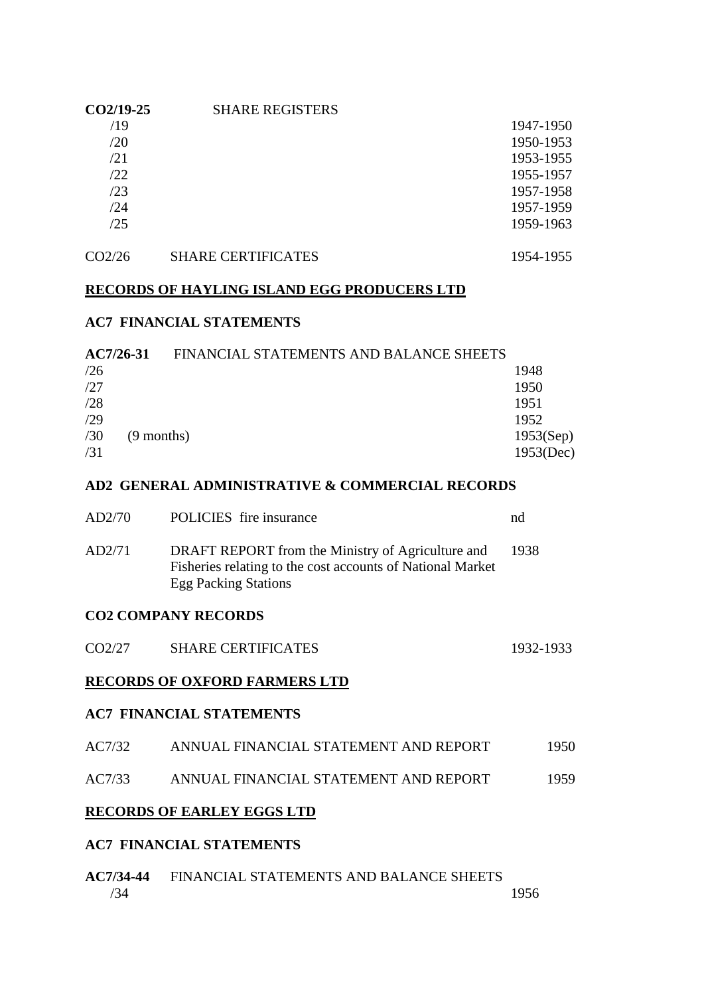| $CO2/19-25$ | <b>SHARE REGISTERS</b> |           |
|-------------|------------------------|-----------|
| /19         |                        | 1947-1950 |
| /20         |                        | 1950-1953 |
| /21         |                        | 1953-1955 |
| /22         |                        | 1955-1957 |
| /23         |                        | 1957-1958 |
| /24         |                        | 1957-1959 |
| /25         |                        | 1959-1963 |
|             |                        |           |

### CO2/26 SHARE CERTIFICATES 1954-1955

#### **RECORDS OF HAYLING ISLAND EGG PRODUCERS LTD**

#### **AC7 FINANCIAL STATEMENTS**

| $AC7/26-31$ | FINANCIAL STATEMENTS AND BALANCE SHEETS |           |
|-------------|-----------------------------------------|-----------|
| /26         |                                         | 1948      |
| /27         |                                         | 1950      |
| /28         |                                         | 1951      |
| /29         |                                         | 1952      |
| /30         | $(9$ months)                            | 1953(Sep) |
| /31         |                                         | 1953(Dec) |

#### **AD2 GENERAL ADMINISTRATIVE & COMMERCIAL RECORDS**

| AD2/70 | POLICIES fire insurance                                                                                                                        | nd   |
|--------|------------------------------------------------------------------------------------------------------------------------------------------------|------|
| AD2/71 | DRAFT REPORT from the Ministry of Agriculture and<br>Fisheries relating to the cost accounts of National Market<br><b>Egg Packing Stations</b> | 1938 |

#### **CO2 COMPANY RECORDS**

| <b>SHARE CERTIFICATES</b><br>CO2/27 | 1932-1933 |
|-------------------------------------|-----------|
|-------------------------------------|-----------|

#### **RECORDS OF OXFORD FARMERS LTD**

#### **AC7 FINANCIAL STATEMENTS**

| AC7/32 | ANNUAL FINANCIAL STATEMENT AND REPORT | 1950 |
|--------|---------------------------------------|------|
| AC7/33 | ANNUAL FINANCIAL STATEMENT AND REPORT | 1959 |

#### **RECORDS OF EARLEY EGGS LTD**

#### **AC7 FINANCIAL STATEMENTS**

| AC7/34-44 | FINANCIAL STATEMENTS AND BALANCE SHEETS |      |
|-----------|-----------------------------------------|------|
| /34       |                                         | 1956 |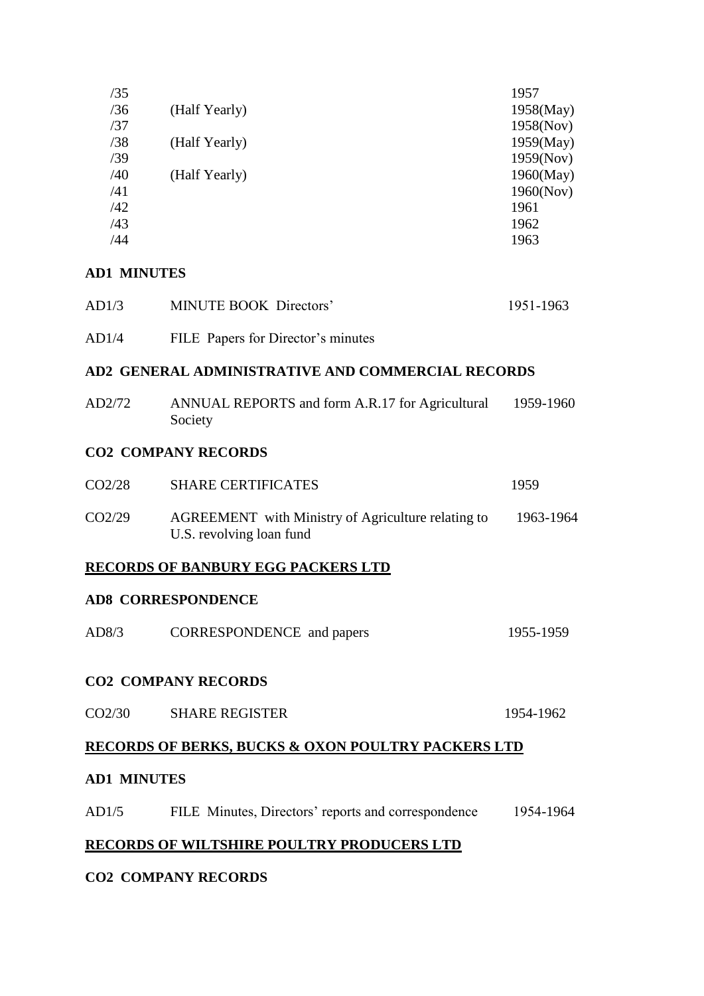| /35 |               | 1957      |
|-----|---------------|-----------|
| /36 | (Half Yearly) | 1958(May) |
| /37 |               | 1958(Nov) |
| /38 | (Half Yearly) | 1959(May) |
| /39 |               | 1959(Nov) |
| /40 | (Half Yearly) | 1960(May) |
| /41 |               | 1960(Nov) |
| /42 |               | 1961      |
| /43 |               | 1962      |
| /44 |               | 1963      |
|     |               |           |

#### **AD1 MINUTES**

| AD1/3 | MINUTE BOOK Directors'             | 1951-1963 |
|-------|------------------------------------|-----------|
| AD1/4 | FILE Papers for Director's minutes |           |

#### **AD2 GENERAL ADMINISTRATIVE AND COMMERCIAL RECORDS**

| AD2/72 | ANNUAL REPORTS and form A.R.17 for Agricultural<br>Society                     | 1959-1960 |
|--------|--------------------------------------------------------------------------------|-----------|
|        | <b>CO2 COMPANY RECORDS</b>                                                     |           |
| CO2/28 | <b>SHARE CERTIFICATES</b>                                                      | 1959      |
| CO2/29 | AGREEMENT with Ministry of Agriculture relating to<br>U.S. revolving loan fund | 1963-1964 |
|        | <b>RECORDS OF BANBURY EGG PACKERS LTD</b>                                      |           |

### **AD8 CORRESPONDENCE**

| AD8/3 | CORRESPONDENCE and papers | 1955-1959 |
|-------|---------------------------|-----------|
|       |                           |           |

#### **CO2 COMPANY RECORDS**

| CO2/30 | <b>SHARE REGISTER</b> | 1954-1962 |
|--------|-----------------------|-----------|
|        |                       |           |

### **RECORDS OF BERKS, BUCKS & OXON POULTRY PACKERS LTD**

#### **AD1 MINUTES**

| AD1/5 |  | FILE Minutes, Directors' reports and correspondence | 1954-1964 |
|-------|--|-----------------------------------------------------|-----------|
|       |  |                                                     |           |

#### **RECORDS OF WILTSHIRE POULTRY PRODUCERS LTD**

#### **CO2 COMPANY RECORDS**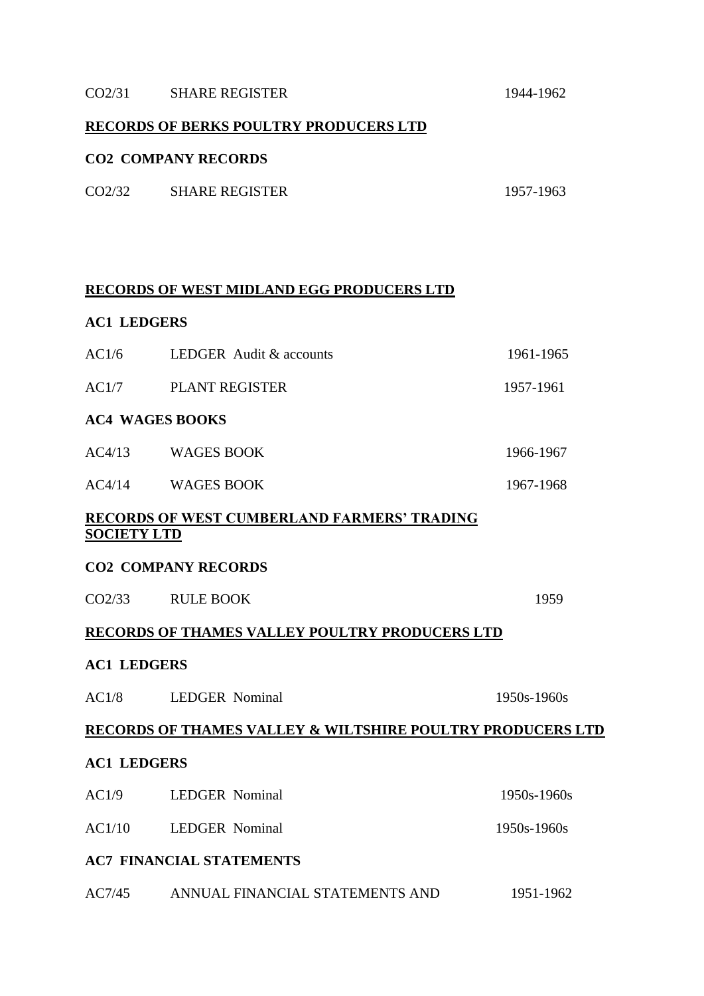#### CO2/31 SHARE REGISTER 1944-1962

#### **RECORDS OF BERKS POULTRY PRODUCERS LTD**

#### **CO2 COMPANY RECORDS**

| <b>SHARE REGISTER</b><br>CO2/32 | 1957-1963 |
|---------------------------------|-----------|
|---------------------------------|-----------|

#### **RECORDS OF WEST MIDLAND EGG PRODUCERS LTD**

#### **AC1 LEDGERS**

| AC4/13 | WAGES BOOK              | 1966-1967 |
|--------|-------------------------|-----------|
|        | <b>AC4 WAGES BOOKS</b>  |           |
| AC1/7  | <b>PLANT REGISTER</b>   | 1957-1961 |
| AC1/6  | LEDGER Audit & accounts | 1961-1965 |

AC4/14 WAGES BOOK 1967-1968

### **RECORDS OF WEST CUMBERLAND FARMERS' TRADING SOCIETY LTD**

#### **CO2 COMPANY RECORDS**

| CO <sub>2</sub> /33 | <b>RULE BOOK</b> | 1959 |
|---------------------|------------------|------|
|                     |                  |      |

### **RECORDS OF THAMES VALLEY POULTRY PRODUCERS LTD**

#### **AC1 LEDGERS**

| AC1/8              | <b>LEDGER</b> Nominal                                                 | $1950s - 1960s$ |
|--------------------|-----------------------------------------------------------------------|-----------------|
|                    | <b>RECORDS OF THAMES VALLEY &amp; WILTSHIRE POULTRY PRODUCERS LTD</b> |                 |
| <b>AC1 LEDGERS</b> |                                                                       |                 |
| AC1/9              | <b>LEDGER</b> Nominal                                                 | $1950s - 1960s$ |
| AC1/10             | <b>LEDGER</b> Nominal                                                 | $1950s - 1960s$ |
|                    | <b>AC7 FINANCIAL STATEMENTS</b>                                       |                 |
| AC7/45             | ANNUAL FINANCIAL STATEMENTS AND                                       | 1951-1962       |